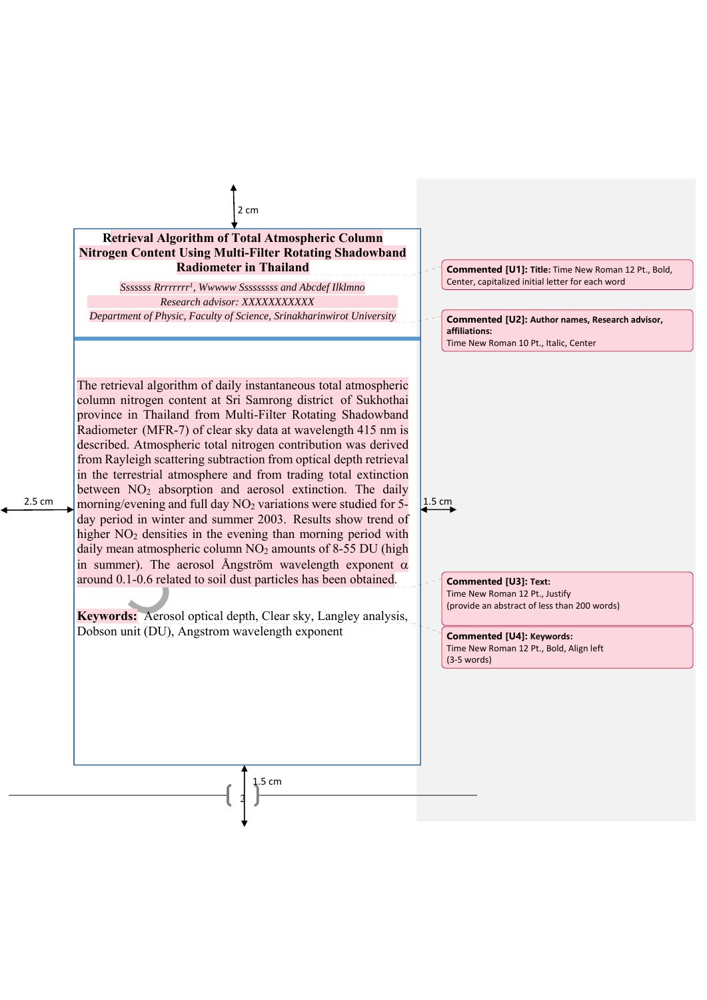